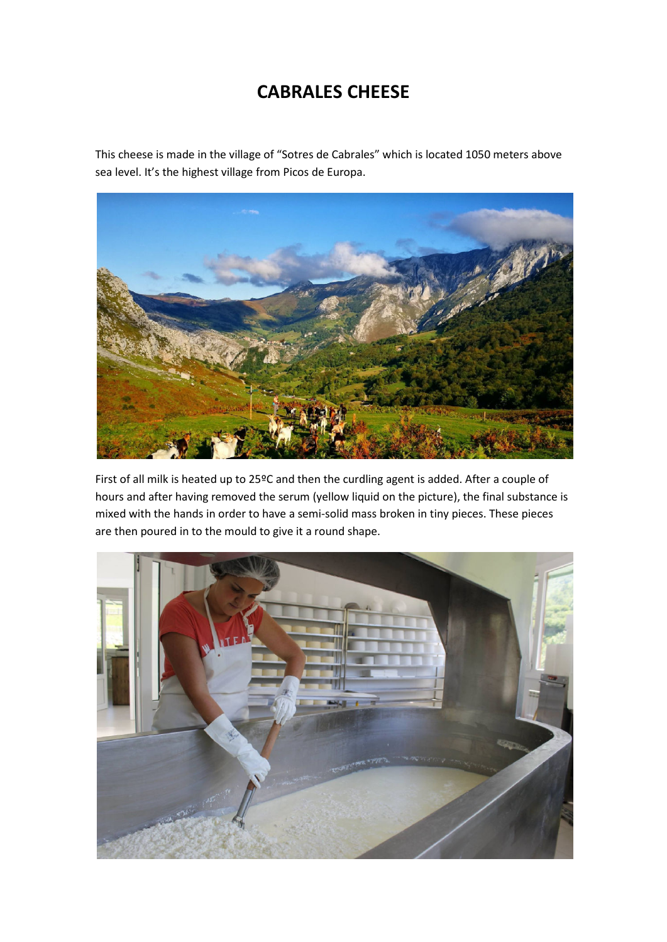## **CABRALES CHEESE**

This cheese is made in the village of "Sotres de Cabrales" which is located 1050 meters above sea level. It's the highest village from Picos de Europa.



First of all milk is heated up to 25ºC and then the curdling agent is added. After a couple of hours and after having removed the serum (yellow liquid on the picture), the final substance is mixed with the hands in order to have a semi-solid mass broken in tiny pieces. These pieces are then poured in to the mould to give it a round shape.

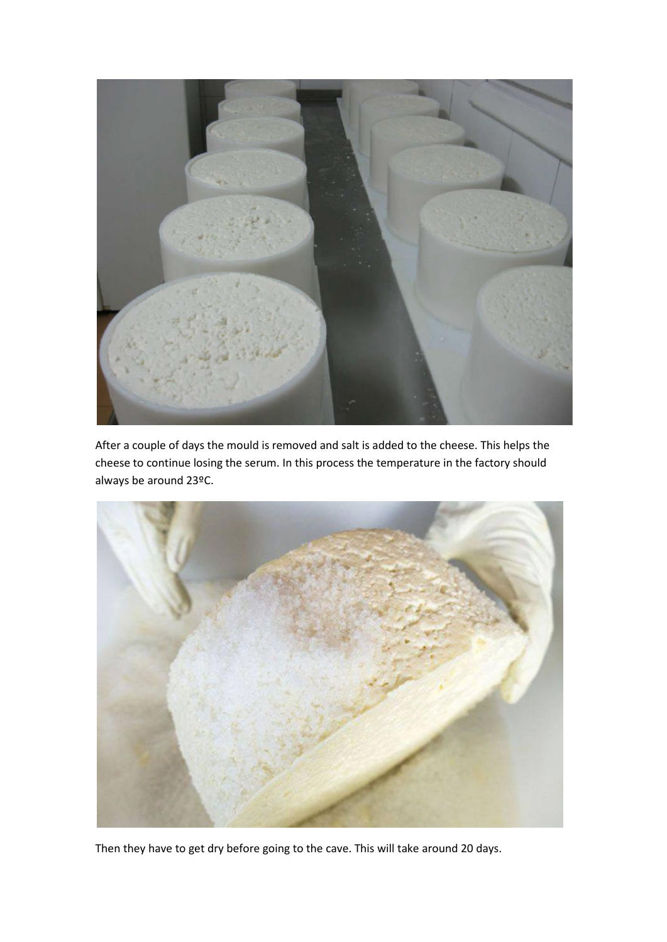

After a couple of days the mould is removed and salt is added to the cheese. This helps the cheese to continue losing the serum. In this process the temperature in the factory should always be around 23ºC.



Then they have to get dry before going to the cave. This will take around 20 days.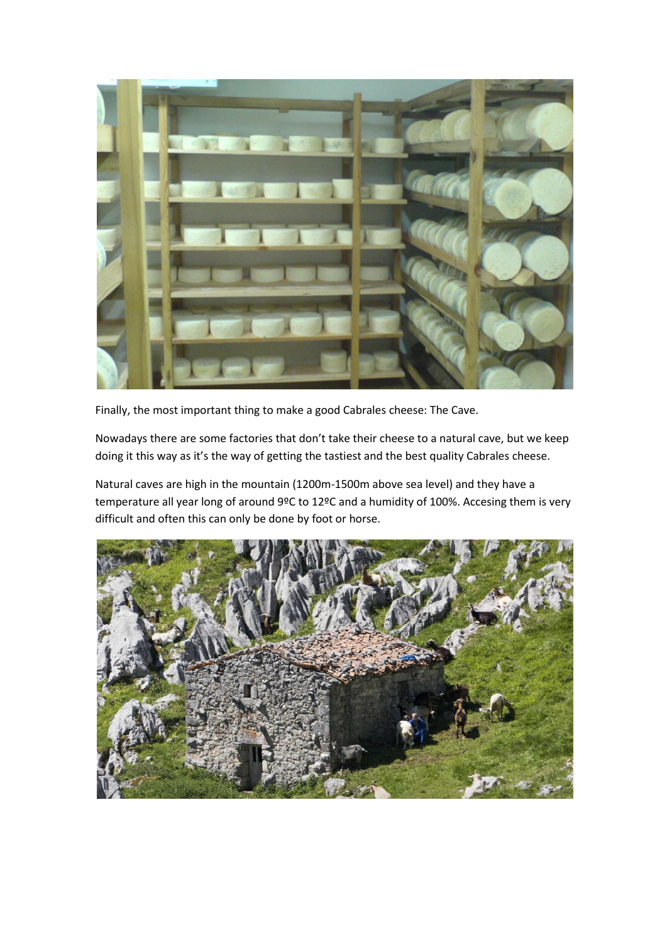

Finally, the most important thing to make a good Cabrales cheese: The Cave.

Nowadays there are some factories that don't take their cheese to a natural cave, but we keep doing it this way as it's the way of getting the tastiest and the best quality Cabrales cheese.

Natural caves are high in the mountain (1200m-1500m above sea level) and they have a temperature all year long of around 9ºC to 12ºC and a humidity of 100%. Accesing them is very difficult and often this can only be done by foot or horse.

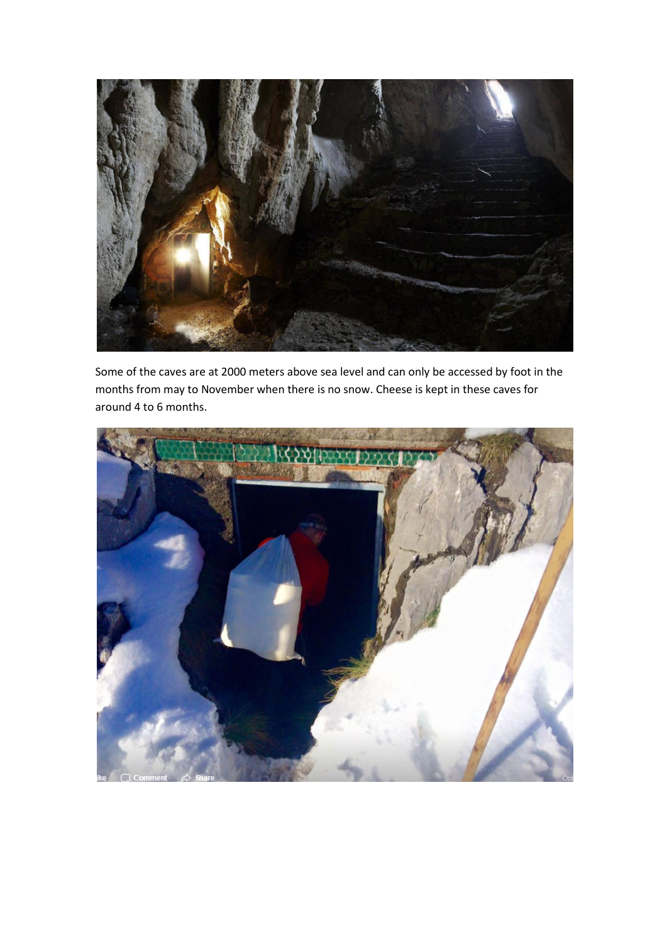

Some of the caves are at 2000 meters above sea level and can only be accessed by foot in the months from may to November when there is no snow. Cheese is kept in these caves for around 4 to 6 months.